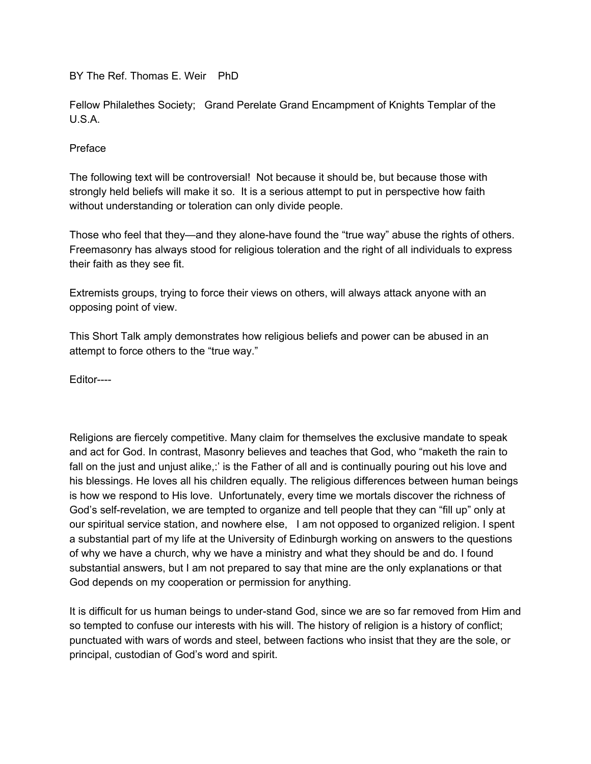BY The Ref. Thomas E. Weir PhD

Fellow Philalethes Society; Grand Perelate Grand Encampment of Knights Templar of the U.S.A.

## Preface

The following text will be controversial! Not because it should be, but because those with strongly held beliefs will make it so. It is a serious attempt to put in perspective how faith without understanding or toleration can only divide people.

Those who feel that they—and they alone-have found the "true way" abuse the rights of others. Freemasonry has always stood for religious toleration and the right of all individuals to express their faith as they see fit.

Extremists groups, trying to force their views on others, will always attack anyone with an opposing point of view.

This Short Talk amply demonstrates how religious beliefs and power can be abused in an attempt to force others to the "true way."

Editor----

Religions are fiercely competitive. Many claim for themselves the exclusive mandate to speak and act for God. In contrast, Masonry believes and teaches that God, who "maketh the rain to fall on the just and unjust alike,:' is the Father of all and is continually pouring out his love and his blessings. He loves all his children equally. The religious differences between human beings is how we respond to His love. Unfortunately, every time we mortals discover the richness of God's self-revelation, we are tempted to organize and tell people that they can "fill up" only at our spiritual service station, and nowhere else, I am not opposed to organized religion. I spent a substantial part of my life at the University of Edinburgh working on answers to the questions of why we have a church, why we have a ministry and what they should be and do. I found substantial answers, but I am not prepared to say that mine are the only explanations or that God depends on my cooperation or permission for anything.

It is difficult for us human beings to under-stand God, since we are so far removed from Him and so tempted to confuse our interests with his will. The history of religion is a history of conflict; punctuated with wars of words and steel, between factions who insist that they are the sole, or principal, custodian of God's word and spirit.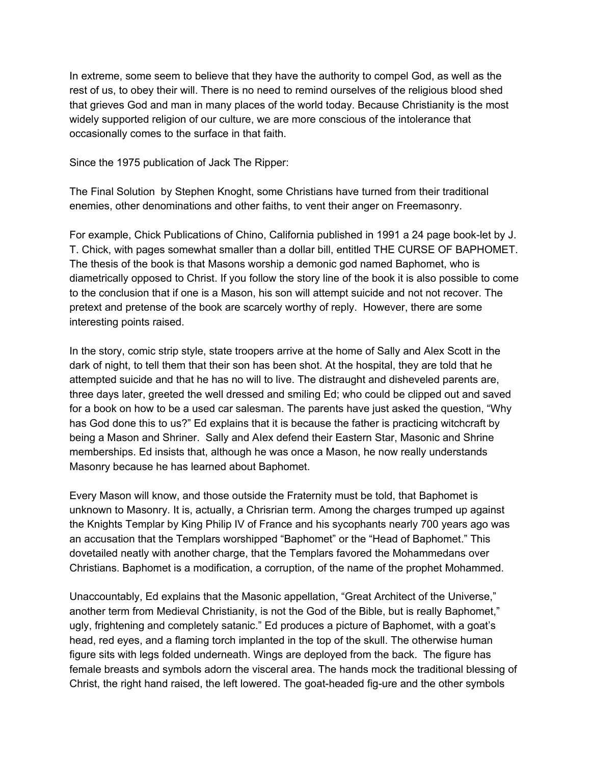In extreme, some seem to believe that they have the authority to compel God, as well as the rest of us, to obey their will. There is no need to remind ourselves of the religious blood shed that grieves God and man in many places of the world today. Because Christianity is the most widely supported religion of our culture, we are more conscious of the intolerance that occasionally comes to the surface in that faith.

Since the 1975 publication of Jack The Ripper:

The Final Solution by Stephen Knoght, some Christians have turned from their traditional enemies, other denominations and other faiths, to vent their anger on Freemasonry.

For example, Chick Publications of Chino, California published in 1991 a 24 page book-let by J. T. Chick, with pages somewhat smaller than a dollar bill, entitled THE CURSE OF BAPHOMET. The thesis of the book is that Masons worship a demonic god named Baphomet, who is diametrically opposed to Christ. If you follow the story line of the book it is also possible to come to the conclusion that if one is a Mason, his son will attempt suicide and not not recover. The pretext and pretense of the book are scarcely worthy of reply. However, there are some interesting points raised.

In the story, comic strip style, state troopers arrive at the home of Sally and Alex Scott in the dark of night, to tell them that their son has been shot. At the hospital, they are told that he attempted suicide and that he has no will to live. The distraught and disheveled parents are, three days later, greeted the well dressed and smiling Ed; who could be clipped out and saved for a book on how to be a used car salesman. The parents have just asked the question, "Why has God done this to us?" Ed explains that it is because the father is practicing witchcraft by being a Mason and Shriner. Sally and AIex defend their Eastern Star, Masonic and Shrine memberships. Ed insists that, although he was once a Mason, he now really understands Masonry because he has learned about Baphomet.

Every Mason will know, and those outside the Fraternity must be told, that Baphomet is unknown to Masonry. It is, actually, a Chrisrian term. Among the charges trumped up against the Knights Templar by King Philip IV of France and his sycophants nearly 700 years ago was an accusation that the Templars worshipped "Baphomet" or the "Head of Baphomet." This dovetailed neatly with another charge, that the Templars favored the Mohammedans over Christians. Baphomet is a modification, a corruption, of the name of the prophet Mohammed.

Unaccountably, Ed explains that the Masonic appellation, "Great Architect of the Universe," another term from Medieval Christianity, is not the God of the Bible, but is really Baphomet," ugly, frightening and completely satanic." Ed produces a picture of Baphomet, with a goat's head, red eyes, and a flaming torch implanted in the top of the skull. The otherwise human figure sits with legs folded underneath. Wings are deployed from the back. The figure has female breasts and symbols adorn the visceral area. The hands mock the traditional blessing of Christ, the right hand raised, the left lowered. The goat-headed fig-ure and the other symbols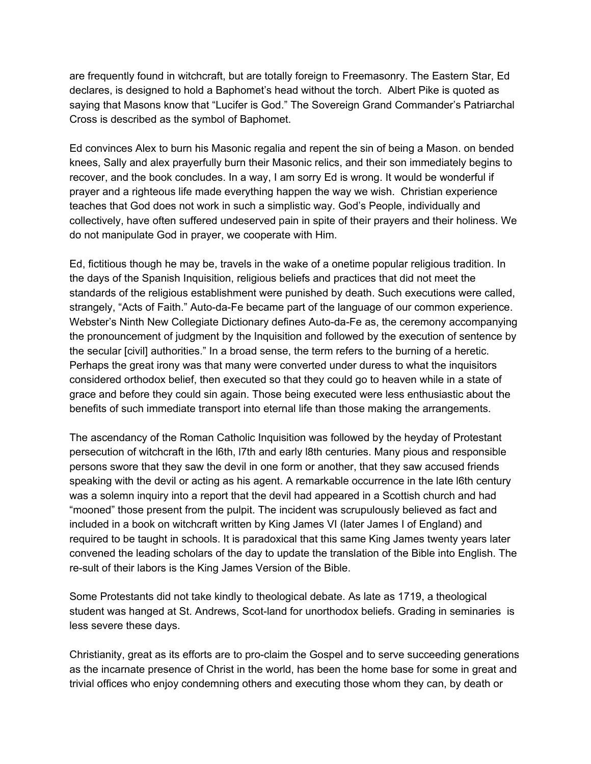are frequently found in witchcraft, but are totally foreign to Freemasonry. The Eastern Star, Ed declares, is designed to hold a Baphomet's head without the torch. Albert Pike is quoted as saying that Masons know that "Lucifer is God." The Sovereign Grand Commander's Patriarchal Cross is described as the symbol of Baphomet.

Ed convinces Alex to burn his Masonic regalia and repent the sin of being a Mason. on bended knees, Sally and alex prayerfully burn their Masonic relics, and their son immediately begins to recover, and the book concludes. In a way, I am sorry Ed is wrong. It would be wonderful if prayer and a righteous life made everything happen the way we wish. Christian experience teaches that God does not work in such a simplistic way. God's People, individually and collectively, have often suffered undeserved pain in spite of their prayers and their holiness. We do not manipulate God in prayer, we cooperate with Him.

Ed, fictitious though he may be, travels in the wake of a onetime popular religious tradition. In the days of the Spanish Inquisition, religious beliefs and practices that did not meet the standards of the religious establishment were punished by death. Such executions were called, strangely, "Acts of Faith." Auto-da-Fe became part of the language of our common experience. Webster's Ninth New Collegiate Dictionary defines Auto-da-Fe as, the ceremony accompanying the pronouncement of judgment by the Inquisition and followed by the execution of sentence by the secular [civil] authorities." In a broad sense, the term refers to the burning of a heretic. Perhaps the great irony was that many were converted under duress to what the inquisitors considered orthodox belief, then executed so that they could go to heaven while in a state of grace and before they could sin again. Those being executed were less enthusiastic about the benefits of such immediate transport into eternal life than those making the arrangements.

The ascendancy of the Roman Catholic Inquisition was followed by the heyday of Protestant persecution of witchcraft in the l6th, l7th and early l8th centuries. Many pious and responsible persons swore that they saw the devil in one form or another, that they saw accused friends speaking with the devil or acting as his agent. A remarkable occurrence in the late l6th century was a solemn inquiry into a report that the devil had appeared in a Scottish church and had "mooned" those present from the pulpit. The incident was scrupulously believed as fact and included in a book on witchcraft written by King James VI (later James I of England) and required to be taught in schools. It is paradoxical that this same King James twenty years later convened the leading scholars of the day to update the translation of the Bible into English. The re-sult of their labors is the King James Version of the Bible.

Some Protestants did not take kindly to theological debate. As late as 1719, a theological student was hanged at St. Andrews, Scot-land for unorthodox beliefs. Grading in seminaries is less severe these days.

Christianity, great as its efforts are to pro-claim the Gospel and to serve succeeding generations as the incarnate presence of Christ in the world, has been the home base for some in great and trivial offices who enjoy condemning others and executing those whom they can, by death or